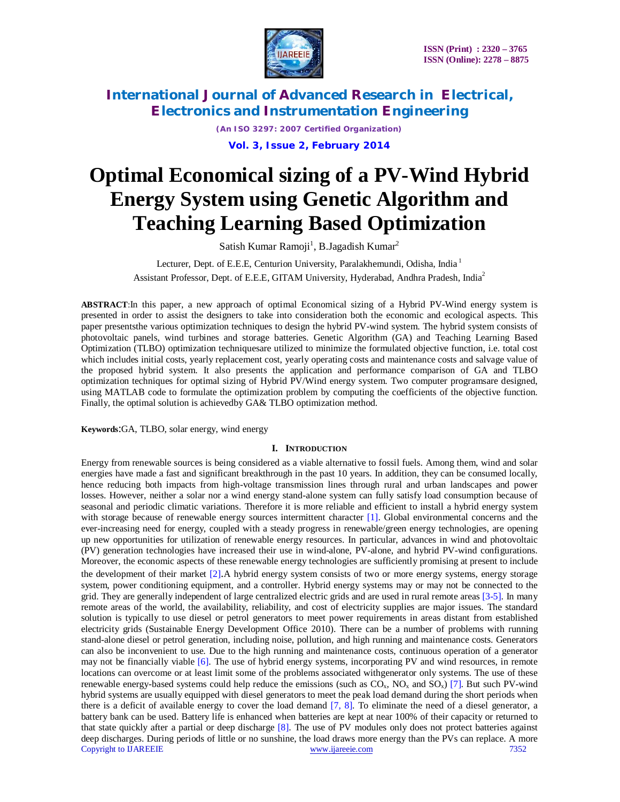

*(An ISO 3297: 2007 Certified Organization)* **Vol. 3, Issue 2, February 2014**

# **Optimal Economical sizing of a PV-Wind Hybrid Energy System using Genetic Algorithm and Teaching Learning Based Optimization**

Satish Kumar Ramoji<sup>1</sup>, B.Jagadish Kumar<sup>2</sup>

Lecturer, Dept. of E.E.E, Centurion University, Paralakhemundi, Odisha, India<sup>1</sup> Assistant Professor, Dept. of E.E.E, GITAM University, Hyderabad, Andhra Pradesh, India<sup>2</sup>

**ABSTRACT**:In this paper, a new approach of optimal Economical sizing of a Hybrid PV-Wind energy system is presented in order to assist the designers to take into consideration both the economic and ecological aspects. This paper presentsthe various optimization techniques to design the hybrid PV-wind system. The hybrid system consists of photovoltaic panels, wind turbines and storage batteries. Genetic Algorithm (GA) and Teaching Learning Based Optimization (TLBO) optimization techniquesare utilized to minimize the formulated objective function, i.e. total cost which includes initial costs, yearly replacement cost, yearly operating costs and maintenance costs and salvage value of the proposed hybrid system. It also presents the application and performance comparison of GA and TLBO optimization techniques for optimal sizing of Hybrid PV/Wind energy system. Two computer programsare designed, using MATLAB code to formulate the optimization problem by computing the coefficients of the objective function. Finally, the optimal solution is achievedby GA& TLBO optimization method.

**Keywords**:GA, TLBO, solar energy, wind energy

### **I. INTRODUCTION**

Copyright to IJAREEIE www.ijareeie.com 7352 Energy from renewable sources is being considered as a viable alternative to fossil fuels. Among them, wind and solar energies have made a fast and significant breakthrough in the past 10 years. In addition, they can be consumed locally, hence reducing both impacts from high-voltage transmission lines through rural and urban landscapes and power losses. However, neither a solar nor a wind energy stand-alone system can fully satisfy load consumption because of seasonal and periodic climatic variations. Therefore it is more reliable and efficient to install a hybrid energy system with storage because of renewable energy sources intermittent character [1]. Global environmental concerns and the ever-increasing need for energy, coupled with a steady progress in renewable/green energy technologies, are opening up new opportunities for utilization of renewable energy resources. In particular, advances in wind and photovoltaic (PV) generation technologies have increased their use in wind-alone, PV-alone, and hybrid PV-wind configurations. Moreover, the economic aspects of these renewable energy technologies are sufficiently promising at present to include the development of their market [2].A hybrid energy system consists of two or more energy systems, energy storage system, power conditioning equipment, and a controller. Hybrid energy systems may or may not be connected to the grid. They are generally independent of large centralized electric grids and are used in rural remote areas [3-5]. In many remote areas of the world, the availability, reliability, and cost of electricity supplies are major issues. The standard solution is typically to use diesel or petrol generators to meet power requirements in areas distant from established electricity grids (Sustainable Energy Development Office 2010). There can be a number of problems with running stand-alone diesel or petrol generation, including noise, pollution, and high running and maintenance costs. Generators can also be inconvenient to use. Due to the high running and maintenance costs, continuous operation of a generator may not be financially viable [6]. The use of hybrid energy systems, incorporating PV and wind resources, in remote locations can overcome or at least limit some of the problems associated withgenerator only systems. The use of these renewable energy-based systems could help reduce the emissions (such as  $CO<sub>x</sub>$ , NO<sub>x</sub> and SO<sub>x</sub>) [7]. But such PV-wind hybrid systems are usually equipped with diesel generators to meet the peak load demand during the short periods when there is a deficit of available energy to cover the load demand [7, 8]. To eliminate the need of a diesel generator, a battery bank can be used. Battery life is enhanced when batteries are kept at near 100% of their capacity or returned to that state quickly after a partial or deep discharge [8]. The use of PV modules only does not protect batteries against deep discharges. During periods of little or no sunshine, the load draws more energy than the PVs can replace. A more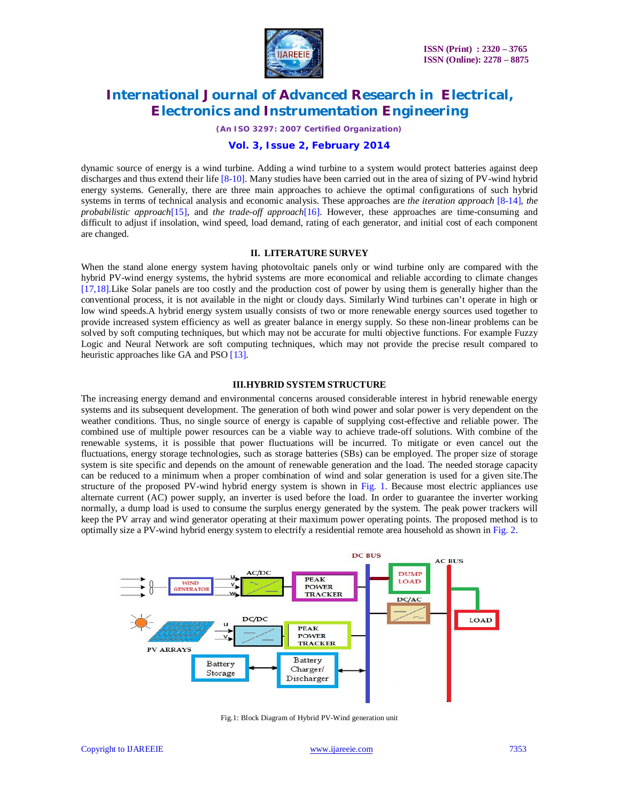

*(An ISO 3297: 2007 Certified Organization)*

#### **Vol. 3, Issue 2, February 2014**

dynamic source of energy is a wind turbine. Adding a wind turbine to a system would protect batteries against deep discharges and thus extend their life [8-10]. Many studies have been carried out in the area of sizing of PV-wind hybrid energy systems. Generally, there are three main approaches to achieve the optimal configurations of such hybrid systems in terms of technical analysis and economic analysis. These approaches are *the iteration approach* [8-14], *the probabilistic approach*[15], and *the trade-off approach*[16]. However, these approaches are time-consuming and difficult to adjust if insolation, wind speed, load demand, rating of each generator, and initial cost of each component are changed.

### **II. LITERATURE SURVEY**

When the stand alone energy system having photovoltaic panels only or wind turbine only are compared with the hybrid PV-wind energy systems, the hybrid systems are more economical and reliable according to climate changes [17,18].Like Solar panels are too costly and the production cost of power by using them is generally higher than the conventional process, it is not available in the night or cloudy days. Similarly Wind turbines can't operate in high or low wind speeds.A hybrid energy system usually consists of two or more renewable energy sources used together to provide increased system efficiency as well as greater balance in energy supply. So these non-linear problems can be solved by soft computing techniques, but which may not be accurate for multi objective functions. For example Fuzzy Logic and Neural Network are soft computing techniques, which may not provide the precise result compared to heuristic approaches like GA and PSO [13].

#### **III.HYBRID SYSTEM STRUCTURE**

The increasing energy demand and environmental concerns aroused considerable interest in hybrid renewable energy systems and its subsequent development. The generation of both wind power and solar power is very dependent on the weather conditions. Thus, no single source of energy is capable of supplying cost-effective and reliable power. The combined use of multiple power resources can be a viable way to achieve trade-off solutions. With combine of the renewable systems, it is possible that power fluctuations will be incurred. To mitigate or even cancel out the fluctuations, energy storage technologies, such as storage batteries (SBs) can be employed. The proper size of storage system is site specific and depends on the amount of renewable generation and the load. The needed storage capacity can be reduced to a minimum when a proper combination of wind and solar generation is used for a given site.The structure of the proposed PV-wind hybrid energy system is shown in Fig. 1. Because most electric appliances use alternate current (AC) power supply, an inverter is used before the load. In order to guarantee the inverter working normally, a dump load is used to consume the surplus energy generated by the system. The peak power trackers will keep the PV array and wind generator operating at their maximum power operating points. The proposed method is to optimally size a PV-wind hybrid energy system to electrify a residential remote area household as shown in Fig. 2.



Fig.1: Block Diagram of Hybrid PV-Wind generation unit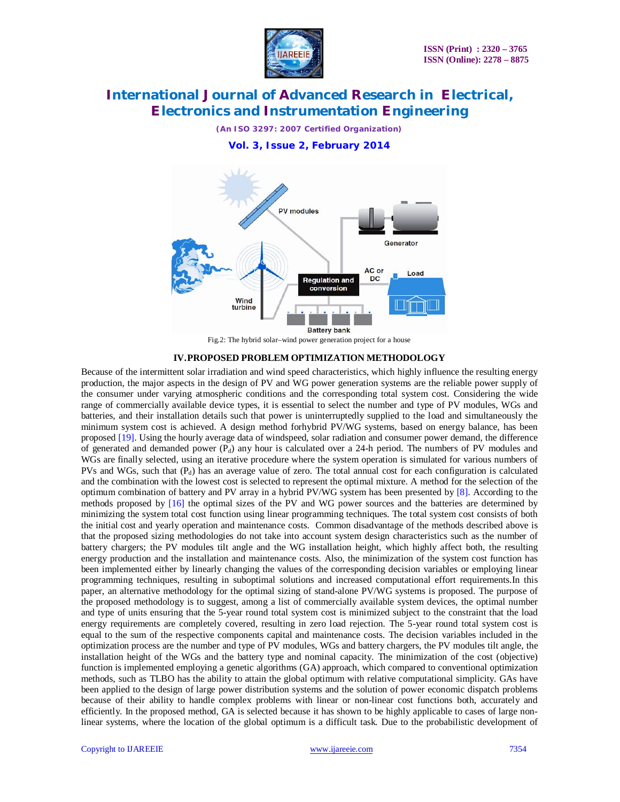

*(An ISO 3297: 2007 Certified Organization)*

**Vol. 3, Issue 2, February 2014**



Fig.2: The hybrid solar–wind power generation project for a house

#### **IV.PROPOSED PROBLEM OPTIMIZATION METHODOLOGY**

Because of the intermittent solar irradiation and wind speed characteristics, which highly influence the resulting energy production, the major aspects in the design of PV and WG power generation systems are the reliable power supply of the consumer under varying atmospheric conditions and the corresponding total system cost. Considering the wide range of commercially available device types, it is essential to select the number and type of PV modules, WGs and batteries, and their installation details such that power is uninterruptedly supplied to the load and simultaneously the minimum system cost is achieved. A design method forhybrid PV/WG systems, based on energy balance, has been proposed [19]. Using the hourly average data of windspeed, solar radiation and consumer power demand, the difference of generated and demanded power  $(P_d)$  any hour is calculated over a 24-h period. The numbers of PV modules and WGs are finally selected, using an iterative procedure where the system operation is simulated for various numbers of PVs and WGs, such that  $(P_d)$  has an average value of zero. The total annual cost for each configuration is calculated and the combination with the lowest cost is selected to represent the optimal mixture. A method for the selection of the optimum combination of battery and PV array in a hybrid PV/WG system has been presented by  $[8]$ . According to the methods proposed by [16] the optimal sizes of the PV and WG power sources and the batteries are determined by minimizing the system total cost function using linear programming techniques. The total system cost consists of both the initial cost and yearly operation and maintenance costs. Common disadvantage of the methods described above is that the proposed sizing methodologies do not take into account system design characteristics such as the number of battery chargers; the PV modules tilt angle and the WG installation height, which highly affect both, the resulting energy production and the installation and maintenance costs. Also, the minimization of the system cost function has been implemented either by linearly changing the values of the corresponding decision variables or employing linear programming techniques, resulting in suboptimal solutions and increased computational effort requirements.In this paper, an alternative methodology for the optimal sizing of stand-alone PV/WG systems is proposed. The purpose of the proposed methodology is to suggest, among a list of commercially available system devices, the optimal number and type of units ensuring that the 5-year round total system cost is minimized subject to the constraint that the load energy requirements are completely covered, resulting in zero load rejection. The 5-year round total system cost is equal to the sum of the respective components capital and maintenance costs. The decision variables included in the optimization process are the number and type of PV modules, WGs and battery chargers, the PV modules tilt angle, the installation height of the WGs and the battery type and nominal capacity. The minimization of the cost (objective) function is implemented employing a genetic algorithms (GA) approach, which compared to conventional optimization methods, such as TLBO has the ability to attain the global optimum with relative computational simplicity. GAs have been applied to the design of large power distribution systems and the solution of power economic dispatch problems because of their ability to handle complex problems with linear or non-linear cost functions both, accurately and efficiently. In the proposed method, GA is selected because it has shown to be highly applicable to cases of large nonlinear systems, where the location of the global optimum is a difficult task. Due to the probabilistic development of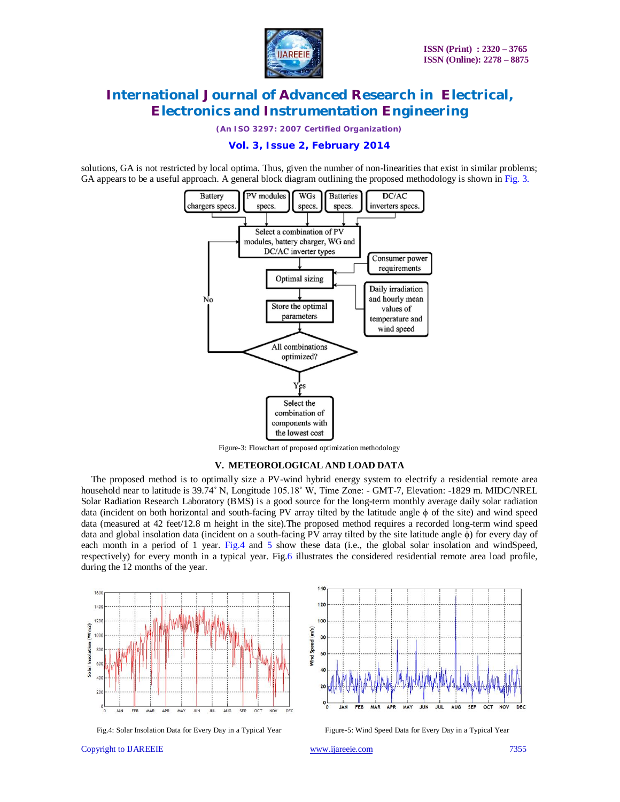

*(An ISO 3297: 2007 Certified Organization)*

**Vol. 3, Issue 2, February 2014**

solutions, GA is not restricted by local optima. Thus, given the number of non-linearities that exist in similar problems; GA appears to be a useful approach. A general block diagram outlining the proposed methodology is shown in Fig. 3.



Figure-3: Flowchart of proposed optimization methodology

#### **V. METEOROLOGICAL AND LOAD DATA**

The proposed method is to optimally size a PV-wind hybrid energy system to electrify a residential remote area household near to latitude is 39.74° N, Longitude 105.18° W, Time Zone: - GMT-7, Elevation: -1829 m. MIDC/NREL Solar Radiation Research Laboratory (BMS) is a good source for the long-term monthly average daily solar radiation data (incident on both horizontal and south-facing PV array tilted by the latitude angle ϕ of the site) and wind speed data (measured at 42 feet/12.8 m height in the site).The proposed method requires a recorded long-term wind speed data and global insolation data (incident on a south-facing PV array tilted by the site latitude angle ϕ) for every day of each month in a period of 1 year. Fig.4 and 5 show these data (i.e., the global solar insolation and windSpeed, respectively) for every month in a typical year. Fig.6 illustrates the considered residential remote area load profile, during the 12 months of the year.



 $12<sub>0</sub>$ 100  $(m/s)$ find Spe 60 OCT **DEC JAN FEB** MAR **APR MAY JUN** JUL **AUG SEP NOV** 

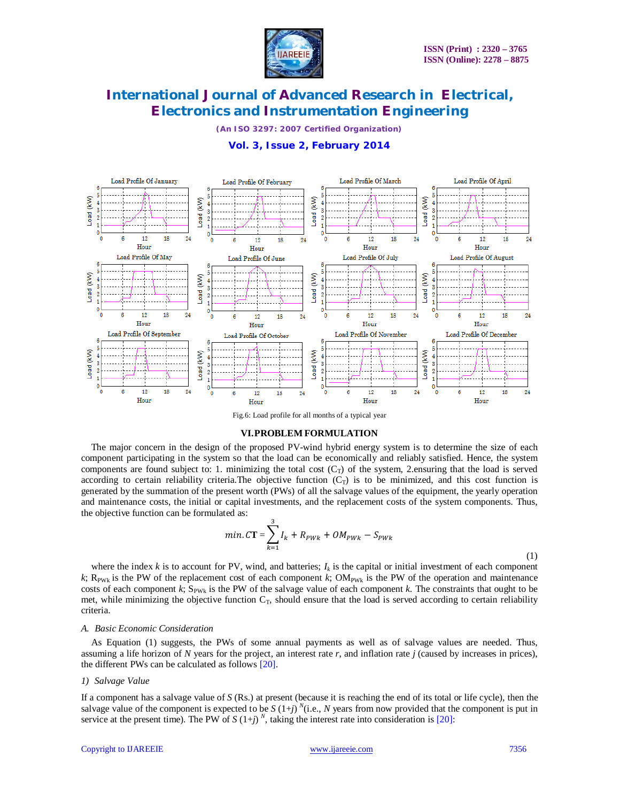

*(An ISO 3297: 2007 Certified Organization)*



### **Vol. 3, Issue 2, February 2014**

Fig.6: Load profile for all months of a typical year

#### **VI.PROBLEM FORMULATION**

The major concern in the design of the proposed PV-wind hybrid energy system is to determine the size of each component participating in the system so that the load can be economically and reliably satisfied. Hence, the system components are found subject to: 1. minimizing the total cost  $(C_T)$  of the system, 2.ensuring that the load is served according to certain reliability criteria. The objective function  $(C_T)$  is to be minimized, and this cost function is generated by the summation of the present worth (PWs) of all the salvage values of the equipment, the yearly operation and maintenance costs, the initial or capital investments, and the replacement costs of the system components. Thus, the objective function can be formulated as:

min. 
$$
CT = \sum_{k=1}^{3} I_k + R_{PWK} + OM_{PWK} - S_{PWK}
$$
 (1)

where the index  $k$  is to account for PV, wind, and batteries;  $I_k$  is the capital or initial investment of each component  $k$ ; R<sub>PWk</sub> is the PW of the replacement cost of each component  $k$ ; OM<sub>PWk</sub> is the PW of the operation and maintenance costs of each component  $k$ ;  $S_{PWK}$  is the PW of the salvage value of each component  $k$ . The constraints that ought to be met, while minimizing the objective function  $C_T$ , should ensure that the load is served according to certain reliability criteria.

#### *A. Basic Economic Consideration*

As Equation (1) suggests, the PWs of some annual payments as well as of salvage values are needed. Thus, assuming a life horizon of *N* years for the project, an interest rate *r*, and inflation rate *j* (caused by increases in prices), the different PWs can be calculated as follows [20].

#### *1) Salvage Value*

If a component has a salvage value of *S* (Rs.) at present (because it is reaching the end of its total or life cycle), then the salvage value of the component is expected to be  $S(1+j)^{N}$  (i.e., *N* years from now provided that the component is put in service at the present time). The PW of  $S(1+j)^N$ , taking the interest rate into consideration is [20]: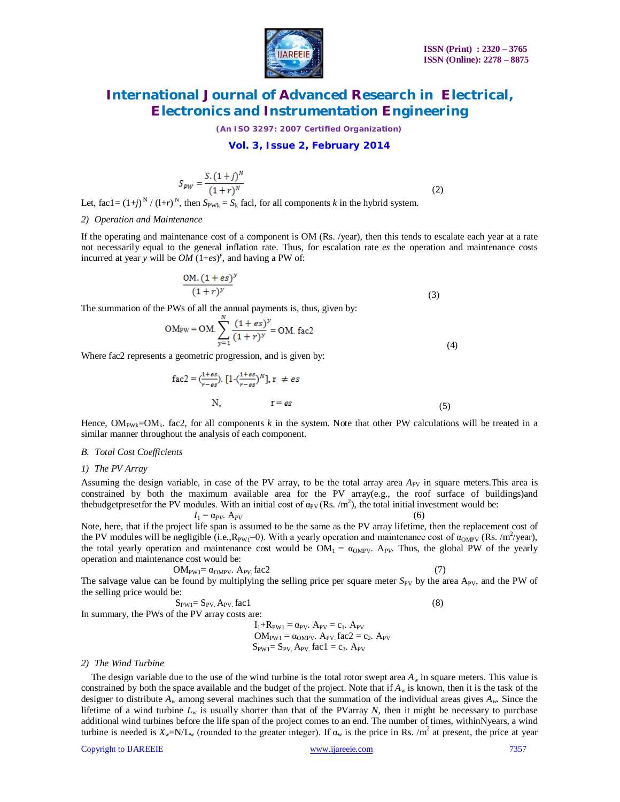

*(An ISO 3297: 2007 Certified Organization)*

### **Vol. 3, Issue 2, February 2014**

$$
S_{PW} = \frac{S.(1+j)^N}{(1+r)^N}
$$

(2)

Let, fac1 =  $(1+j)^N / (1+r)^N$ , then  $S_{PWK} = S_k$  fac1, for all components *k* in the hybrid system.

#### *2) Operation and Maintenance*

If the operating and maintenance cost of a component is OM (Rs. /year), then this tends to escalate each year at a rate not necessarily equal to the general inflation rate. Thus, for escalation rate *es* the operation and maintenance costs incurred at year *y* will be  $OM(1+es)^y$ , and having a PW of:

$$
\frac{\text{OM.} (1+es)^y}{(1+r)^y} \tag{3}
$$

The summation of the PWs of all the annual payments is, thus, given by:

$$
OM_{PW} = OM. \sum_{y=1}^{N} \frac{(1+es)^{y}}{(1+r)^{y}} = OM. \text{ fac2}
$$
\n(4)

Where fac2 represents a geometric progression, and is given by:

$$
fac2 = \left(\frac{1+es}{r-es}\right) \left[1 - \left(\frac{1+es}{r-es}\right)^N\right], r \neq es
$$
  
N, 
$$
r = es
$$
 (5)

Hence,  $OM_{\text{PWK}}=OM_k$ . fac2, for all components *k* in the system. Note that other PW calculations will be treated in a similar manner throughout the analysis of each component.

### *B. Total Cost Coefficients*

#### *1) The PV Array*

Assuming the design variable, in case of the PV array, to be the total array area  $A_{\text{PV}}$  in square meters. This area is constrained by both the maximum available area for the PV array(e.g., the roof surface of buildings)and thebudgetpresetfor the PV modules. With an initial cost of  $\alpha_{PV}$  (Rs. /m<sup>2</sup>), the total initial investment would be:

$$
I_1 = \alpha_{PV}. A_{PV} \tag{6}
$$

Note, here, that if the project life span is assumed to be the same as the PV array lifetime, then the replacement cost of the PV modules will be negligible (i.e., $R_{PW_1}=0$ ). With a yearly operation and maintenance cost of  $\alpha_{OMPV}$  (Rs. /m<sup>2</sup>/year), the total yearly operation and maintenance cost would be  $OM_1 = \alpha_{OMPV}$ . Thus, the global PW of the yearly operation and maintenance cost would be:

$$
OM_{PW1} = \alpha_{OMPV} \cdot A_{PV} \text{ fac2}
$$
 (7)

$$
\overline{c}
$$

The salvage value can be found by multiplying the selling price per square meter  $S_{PV}$  by the area A<sub>PV</sub>, and the PW of the selling price would be:

$$
S_{PW1} = S_{PV} A_{PV} \text{ fac1}
$$
 (8)

In summary, the PWs of the PV array costs are:

 $I_1+R_{PW1} = \alpha_{PV}$ .  $A_{PV} = c_1$ .  $A_{PV}$  $OM_{PW1} = \alpha_{OMPV}$ . Apv. fac2 = c<sub>2</sub>. Apv  $S_{PW1}= S_{PV}$ . A<sub>PV.</sub> fac1 = c<sub>3</sub>. A<sub>PV</sub>

#### *2) The Wind Turbine*

The design variable due to the use of the wind turbine is the total rotor swept area  $A_w$  in square meters. This value is constrained by both the space available and the budget of the project. Note that if *A<sup>w</sup>* is known, then it is the task of the designer to distribute  $A_w$  among several machines such that the summation of the individual areas gives  $A_w$ . Since the lifetime of a wind turbine  $L_w$  is usually shorter than that of the PVarray N, then it might be necessary to purchase additional wind turbines before the life span of the project comes to an end. The number of times, withinNyears, a wind turbine is needed is  $X_w = N/L_w$  (rounded to the greater integer). If  $\alpha_w$  is the price in Rs. /m<sup>2</sup> at present, the price at year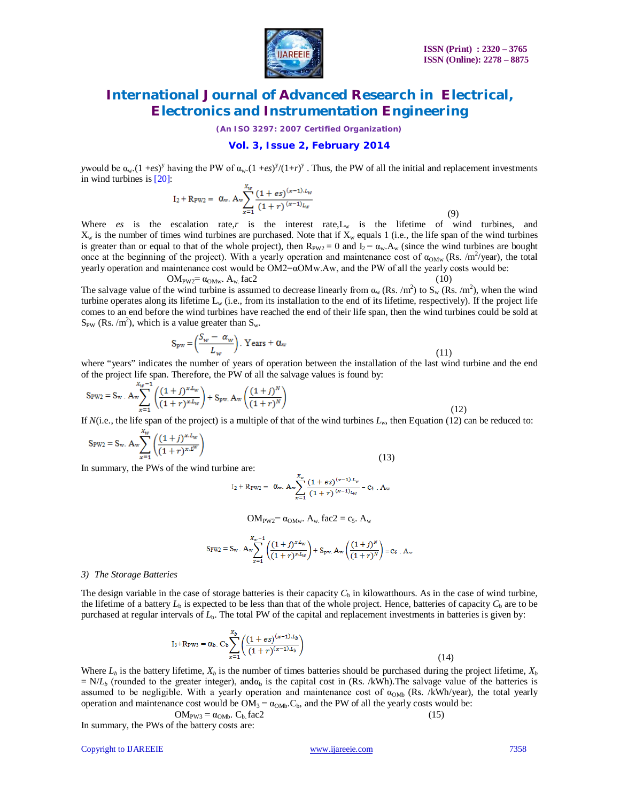

*(An ISO 3297: 2007 Certified Organization)*

#### **Vol. 3, Issue 2, February 2014**

*y*would be  $\alpha_w$ .(1 +*es*)<sup>*y*</sup> having the PW of  $\alpha_w$ .(1 +*es*)<sup>*y*</sup>/(1+*r*)<sup>*y*</sup>. Thus, the PW of all the initial and replacement investments in wind turbines is [20]:

$$
I_2 + R_{PW2} = \alpha_w. A_w \sum_{x=1}^{A_W} \frac{(1 + es)^{(x-1).L_W}}{(1+r)^{(x-1)}L_W}
$$
(9)

Where  $es$  is the escalation rate, $r$  is the interest rate, $L_w$  is the lifetime of wind turbines, and  $X_w$  is the number of times wind turbines are purchased. Note that if  $X_w$  equals 1 (i.e., the life span of the wind turbines is greater than or equal to that of the whole project), then  $R_{PW2} = 0$  and  $I_2 = \alpha_w.A_w$  (since the wind turbines are bought once at the beginning of the project). With a yearly operation and maintenance cost of  $\alpha_{OMw}$  (Rs. /m<sup>2</sup>/year), the total yearly operation and maintenance cost would be OM2=αOMw.Aw, and the PW of all the yearly costs would be:

$$
OM_{PW2} = \alpha_{OMw} \cdot A_w \text{ fac2}
$$
 (10)

The salvage value of the wind turbine is assumed to decrease linearly from  $\alpha_w$  (Rs. /m<sup>2</sup>) to  $S_w$  (Rs. /m<sup>2</sup>), when the wind turbine operates along its lifetime  $L_w$  (i.e., from its installation to the end of its lifetime, respectively). If the project life comes to an end before the wind turbines have reached the end of their life span, then the wind turbines could be sold at  $S_{PW}$  (Rs. /m<sup>2</sup>), which is a value greater than  $S_w$ .

$$
S_{pw} = \left(\frac{S_w - \alpha_w}{L_w}\right). \text{ Years} + \alpha_w \tag{11}
$$

where "years" indicates the number of years of operation between the installation of the last wind turbine and the end of the project life span. Therefore, the PW of all the salvage values is found by:

$$
S_{\text{PW2}} = S_{\text{w}} \cdot A_{\text{w}} \sum_{x=1}^{X_{\text{w}}-1} \left( \frac{(1+j)^{x} L_{\text{w}}}{(1+r)^{x} L_{\text{w}}} \right) + S_{\text{pw}} \cdot A_{\text{w}} \left( \frac{(1+j)^{N}}{(1+r)^{N}} \right) \tag{12}
$$

If  $N(i.e.,$  the life span of the project) is a multiple of that of the wind turbines  $L_w$ , then Equation (12) can be reduced to:

$$
S_{\text{PW2}} = S_{\text{w}}. A_{\text{w}} \sum_{x=1}^{x_{\text{w}}} \left( \frac{(1+j)^{x \cdot L_{\text{w}}}}{(1+r)^{x \cdot L^{\text{w}}}} \right)
$$
(13)

In summary, the PWs of the wind turbine are:

I<sub>2</sub> + R<sub>PW2</sub> = 
$$
\alpha_w
$$
.  $A_w \frac{X_w}{x=1} \frac{(1 + es)^{(x-1).L_w}}{(1+r)^{(x-1)}L_w} = c_4$ .  $A_w$ 

OM<sub>PW2</sub>=  $\alpha_{\text{OMw}}$ . A<sub>w</sub> fac2 = c<sub>5</sub>. A<sub>w</sub>

$$
S_{PW2} = S_w \cdot A_w \sum_{x=1}^{X_w-1} \left( \frac{(1+j)^{x \cdot L_w}}{(1+r)^{x \cdot L_w}} \right) + S_{pw} \cdot A_w \left( \frac{(1+j)^N}{(1+r)^N} \right) = c_6 \cdot A_w
$$

#### *3) The Storage Batteries*

The design variable in the case of storage batteries is their capacity  $C<sub>b</sub>$  in kilowatthours. As in the case of wind turbine, the lifetime of a battery  $L<sub>b</sub>$  is expected to be less than that of the whole project. Hence, batteries of capacity  $C<sub>b</sub>$  are to be purchased at regular intervals of  $L<sub>b</sub>$ . The total PW of the capital and replacement investments in batteries is given by:

$$
I_3 + R_{\text{PW3}} = \alpha_b. \ C_b \sum_{x=1}^{X_b} \left( \frac{(1 + es)^{(x-1).L_b}}{(1+r)^{(x-1).L_b}} \right)
$$
(14)

Where  $L_b$  is the battery lifetime,  $X_b$  is the number of times batteries should be purchased during the project lifetime,  $X_b$  $N/L_b$  (rounded to the greater integer), and $\alpha_b$  is the capital cost in (Rs. /kWh). The salvage value of the batteries is assumed to be negligible. With a yearly operation and maintenance cost of  $\alpha_{\text{OMb}}$  (Rs. /kWh/year), the total yearly operation and maintenance cost would be  $OM_3 = \alpha_{OMb}$ . C<sub>b</sub>, and the PW of all the yearly costs would be:

$$
OM_{PW3} = \alpha_{OMb}. C_b. fac2
$$
 (15)

In summary, the PWs of the battery costs are:

Copyright to IJAREEIE www.ijareeie.com 7358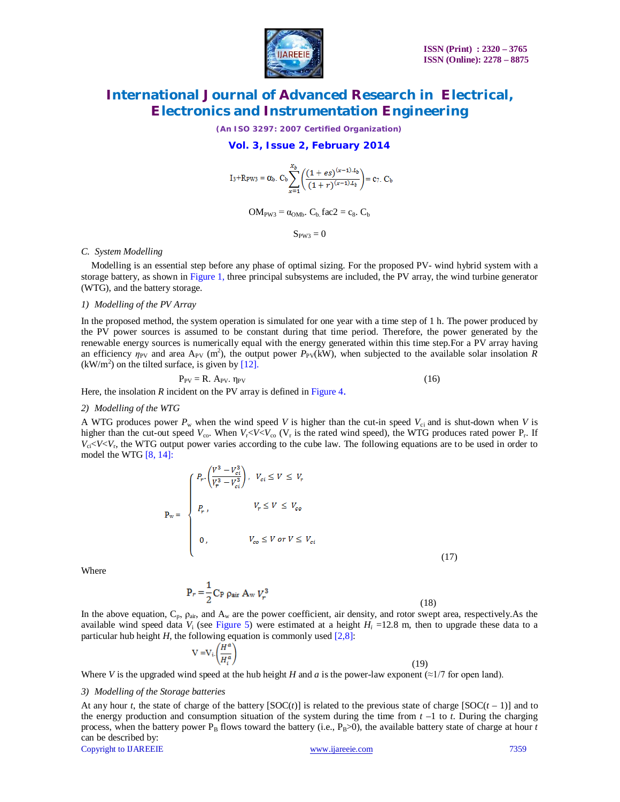

*(An ISO 3297: 2007 Certified Organization)*

### **Vol. 3, Issue 2, February 2014**

$$
I_3+R_{PW3} = \alpha_b. C_b \sum_{x=1}^{X_b} \left( \frac{(1+es)^{(x-1).L_b}}{(1+r)^{(x-1).L_b}} \right) = c_7. C_b
$$

 $OM<sub>PW3</sub> = \alpha<sub>OMb</sub>$ .  $C<sub>b</sub>$  fac2 = c<sub>8</sub>.  $C<sub>b</sub>$ 

 $S_{PW3}=0$ 

#### *C. System Modelling*

Modelling is an essential step before any phase of optimal sizing. For the proposed PV- wind hybrid system with a storage battery, as shown in Figure 1, three principal subsystems are included, the PV array, the wind turbine generator (WTG), and the battery storage.

#### *1) Modelling of the PV Array*

In the proposed method, the system operation is simulated for one year with a time step of 1 h. The power produced by the PV power sources is assumed to be constant during that time period. Therefore, the power generated by the renewable energy sources is numerically equal with the energy generated within this time step.For a PV array having an efficiency  $\eta_{PV}$  and area A<sub>PV</sub> (m<sup>2</sup>), the output power  $P_{PV}$ (kW), when subjected to the available solar insolation R  $(kW/m<sup>2</sup>)$  on the tilted surface, is given by [12].

$$
P_{PV} = R. A_{PV}. \eta_{PV}
$$
 (16)

Here, the insolation *R* incident on the PV array is defined in Figure 4.

#### *2) Modelling of the WTG*

A WTG produces power  $P_w$  when the wind speed *V* is higher than the cut-in speed  $V_{ci}$  and is shut-down when *V* is higher than the cut-out speed  $V_{\rm co}$ . When  $V_{\rm r}$  <*V*< $V_{\rm co}$  ( $V_{\rm r}$  is the rated wind speed), the WTG produces rated power  $P_{\rm r}$ . If  $V_{ci}$   $V_{ci}$ , the WTG output power varies according to the cube law. The following equations are to be used in order to model the WTG [8, 14]:

$$
P_{w} = \begin{cases} P_{r} \cdot \left(\frac{V^{3} - V_{ci}^{3}}{V_{r}^{3} - V_{ci}^{3}}\right), & V_{ci} \leq V \leq V_{r} \\ P_{r}, & V_{r} \leq V \leq V_{co} \\ 0, & V_{co} \leq V \text{ or } V \leq V_{ci} \end{cases}
$$
(17)

Where

$$
P_r = \frac{1}{2} C_P \rho_{air} A_w V_r^3
$$

(18)

In the above equation,  $C_p$ ,  $\rho_{air}$ , and  $A_w$  are the power coefficient, air density, and rotor swept area, respectively.As the available wind speed data  $V_i$  (see Figure 5) were estimated at a height  $H_i$  =12.8 m, then to upgrade these data to a particular hub height  $H$ , the following equation is commonly used  $[2,8]$ :

$$
V = V_i \left(\frac{H^a}{H_i^a}\right)
$$

(19)

Where *V* is the upgraded wind speed at the hub height *H* and *a* is the power-law exponent ( $\approx$ 1/7 for open land).

#### *3) Modelling of the Storage batteries*

At any hour *t*, the state of charge of the battery  $[SOC(t)]$  is related to the previous state of charge  $[SOC(t-1)]$  and to the energy production and consumption situation of the system during the time from  $t - 1$  to  $t$ . During the charging process, when the battery power  $P_B$  flows toward the battery (i.e.,  $P_B$ >0), the available battery state of charge at hour *t* can be described by:

Copyright to IJAREEIE www.ijareeie.com 7359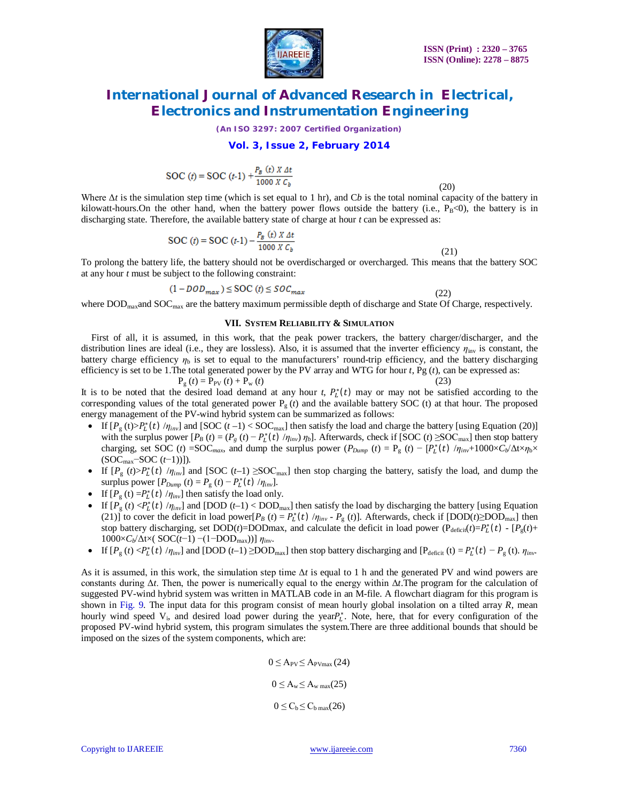

*(An ISO 3297: 2007 Certified Organization)*

### **Vol. 3, Issue 2, February 2014**

$$
SOC(t) = SOC (t-1) + \frac{P_B(t) X \Delta t}{1000 X C_b}
$$

(20)

Where Δ*t* is the simulation step time (which is set equal to 1 hr), and C*b* is the total nominal capacity of the battery in kilowatt-hours. On the other hand, when the battery power flows outside the battery (i.e.,  $P_B<0$ ), the battery is in discharging state. Therefore, the available battery state of charge at hour *t* can be expressed as:

$$
SOC (t) = SOC (t-1) - \frac{P_B (t) X \Delta t}{1000 X C_b}
$$

 (21) To prolong the battery life, the battery should not be overdischarged or overcharged. This means that the battery SOC at any hour *t* must be subject to the following constraint:

$$
(1 - DOD_{max}) \le \text{SOC}(t) \le SOC_{max} \tag{22}
$$

where  $\rm{DOD}_{max}$  and  $\rm{SOC}_{max}$  are the battery maximum permissible depth of discharge and State Of Charge, respectively.

#### **VII. SYSTEM RELIABILITY & SIMULATION**

First of all, it is assumed, in this work, that the peak power trackers, the battery charger/discharger, and the distribution lines are ideal (i.e., they are lossless). Also, it is assumed that the inverter efficiency *η*inv is constant, the battery charge efficiency  $\eta_b$  is set to equal to the manufacturers' round-trip efficiency, and the battery discharging efficiency is set to be 1.The total generated power by the PV array and WTG for hour *t*, Pg (*t*), can be expressed as:

$$
P_g(t) = P_{PV}(t) + P_w(t)
$$
\n(23)

It is to be noted that the desired load demand at any hour  $t$ ,  $P_t^*(t)$  may or may not be satisfied according to the corresponding values of the total generated power  $P_g(t)$  and the available battery SOC (t) at that hour. The proposed energy management of the PV-wind hybrid system can be summarized as follows:

- If  $[P_g(t) > P_l^*(t) / \eta_{inv}]$  and  $[SOC(t-1) < SOC_{max}]$  then satisfy the load and charge the battery [using Equation (20)] with the surplus power  $[P_B(t) = (P_g(t) - P_L^*(t) / \eta_{inv}) \eta_b]$ . Afterwards, check if  $[SOC(t) \geq SOC_{max}]$  then stop battery charging, set SOC (*t*) =SOC<sub>*max*</sub>, and dump the surplus power ( $P_{Dump}$  (*t*) =  $P_g$  (*t*) − [ $P_t^*(t)$  / $\eta_{inv}$ +1000× $C_b/\Delta t \times \eta_b \times$ (SOCmax−SOC (*t*−1))]).
- If  $[P_g(t) > P_L^*(t) / \eta_{inv}]$  and  $[SOC(t-1) \geq SOC_{max}]$  then stop charging the battery, satisfy the load, and dump the surplus power  $[P_{Dump}(t) = P_g(t) - P_L^*(t) / \eta_{inv}]$ .
- If  $[P_g(t) = P_L^*(t) / \eta_{inv}]$  then satisfy the load only.
- If  $[P_g(t) < P_L^*(t) / \eta_{inv}]$  and  $[DOD (t-1) < DOD_{max}]$  then satisfy the load by discharging the battery [using Equation (21)] to cover the deficit in load power[ $P_B(t) = P_L^*(t) / \eta_{inv} - P_g(t)$ ]. Afterwards, check if  $[DOD(t) \geq DOD_{max}]$  then stop battery discharging, set DOD(*t*)=DODmax, and calculate the deficit in load power ( $P_{\text{deficit}}(t) = P_L^*(t) - [P_g(t) +$ 1000×*Cb*/Δt×( SOC(*t*−1) −(1−DODmax))] *ηinv*.
- If  $[P_g(t) < P_L^*(t) / \eta_{inv}]$  and  $[DOD(t-1) \geq DOD_{max}]$  then stop battery discharging and  $[P_{\text{deficit}}(t) = P_L^*(t) P_g(t)$ .  $\eta_{inv}$ .

As it is assumed, in this work, the simulation step time Δ*t* is equal to 1 h and the generated PV and wind powers are constants during Δ*t*. Then, the power is numerically equal to the energy within Δ*t*.The program for the calculation of suggested PV-wind hybrid system was written in MATLAB code in an M-file. A flowchart diagram for this program is shown in Fig. 9. The input data for this program consist of mean hourly global insolation on a tilted array *R*, mean hourly wind speed  $V_i$ , and desired load power during the year $P_L^*$ . Note, here, that for every configuration of the proposed PV-wind hybrid system, this program simulates the system.There are three additional bounds that should be imposed on the sizes of the system components, which are:

$$
0 \le A_{PV} \le A_{PVmax} (24)
$$
  

$$
0 \le A_w \le A_{w max} (25)
$$
  

$$
0 \le C_b \le C_{b max} (26)
$$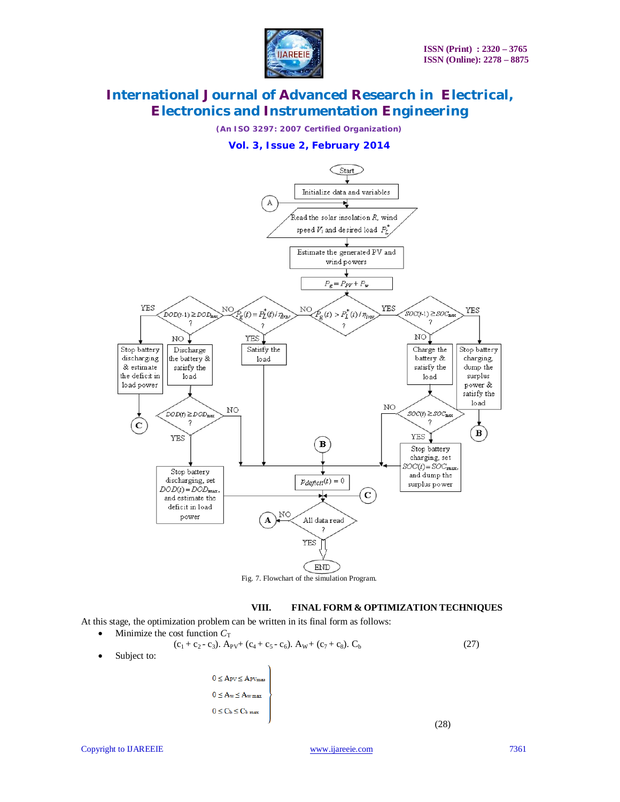

*(An ISO 3297: 2007 Certified Organization)*

### **Vol. 3, Issue 2, February 2014**



Fig. 7. Flowchart of the simulation Program.

### **VIII. FINAL FORM & OPTIMIZATION TECHNIQUES**

At this stage, the optimization problem can be written in its final form as follows:

Minimize the cost function  $C_T$  $(c_1 + c_2 - c_3)$ . A<sub>PV</sub>+  $(c_4 + c_5 - c_6)$ . A<sub>W</sub>+  $(c_7 + c_8)$ . C<sub>b</sub> (27) Subject to:  $0 \leq A_{PV} \leq A_{PVmax}$  $0 \leq A_{\rm w} \!\leq\! A_{\rm w\,max}$  $0 \leq C_b \leq C_b$  max (28)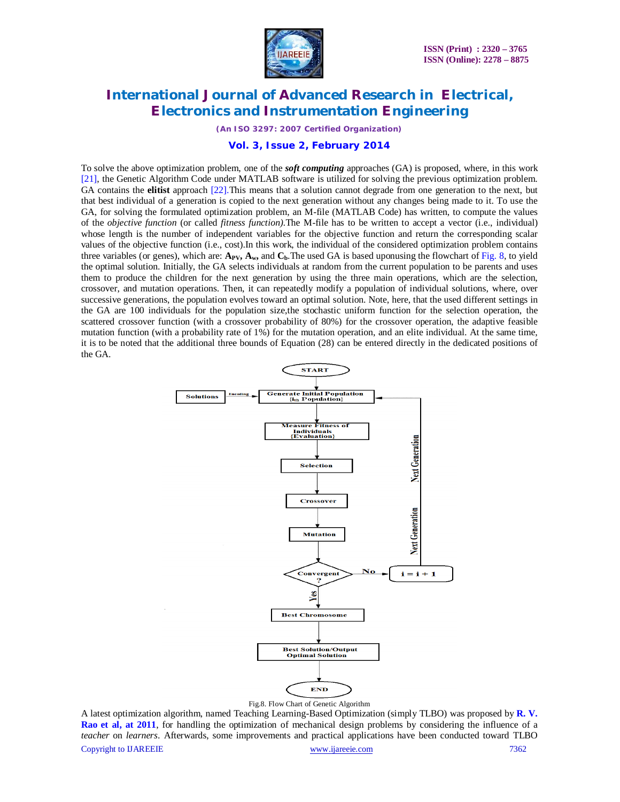

*(An ISO 3297: 2007 Certified Organization)*

**Vol. 3, Issue 2, February 2014**

To solve the above optimization problem, one of the *soft computing* approaches (GA) is proposed, where, in this work [21], the Genetic Algorithm Code under MATLAB software is utilized for solving the previous optimization problem. GA contains the **elitist** approach [22].This means that a solution cannot degrade from one generation to the next, but that best individual of a generation is copied to the next generation without any changes being made to it. To use the GA, for solving the formulated optimization problem, an M-file (MATLAB Code) has written, to compute the values of the *objective function* (or called *fitness function).*The M-file has to be written to accept a vector (i.e., individual) whose length is the number of independent variables for the objective function and return the corresponding scalar values of the objective function (i.e., cost).In this work, the individual of the considered optimization problem contains three variables (or genes), which are:  $A_{PV}$ ,  $A_w$ , and  $C_b$ . The used GA is based uponusing the flowchart of Fig. 8, to yield the optimal solution. Initially, the GA selects individuals at random from the current population to be parents and uses them to produce the children for the next generation by using the three main operations, which are the selection, crossover, and mutation operations. Then, it can repeatedly modify a population of individual solutions, where, over successive generations, the population evolves toward an optimal solution. Note, here, that the used different settings in the GA are 100 individuals for the population size,the stochastic uniform function for the selection operation, the scattered crossover function (with a crossover probability of 80%) for the crossover operation, the adaptive feasible mutation function (with a probability rate of 1%) for the mutation operation, and an elite individual. At the same time, it is to be noted that the additional three bounds of Equation (28) can be entered directly in the dedicated positions of the GA.



Copyright to IJAREEIE www.ijareeie.com 7362 A latest optimization algorithm, named Teaching Learning-Based Optimization (simply TLBO) was proposed by **R. V. Rao et al, at 2011**, for handling the optimization of mechanical design problems by considering the influence of a *teacher* on *learners*. Afterwards, some improvements and practical applications have been conducted toward TLBO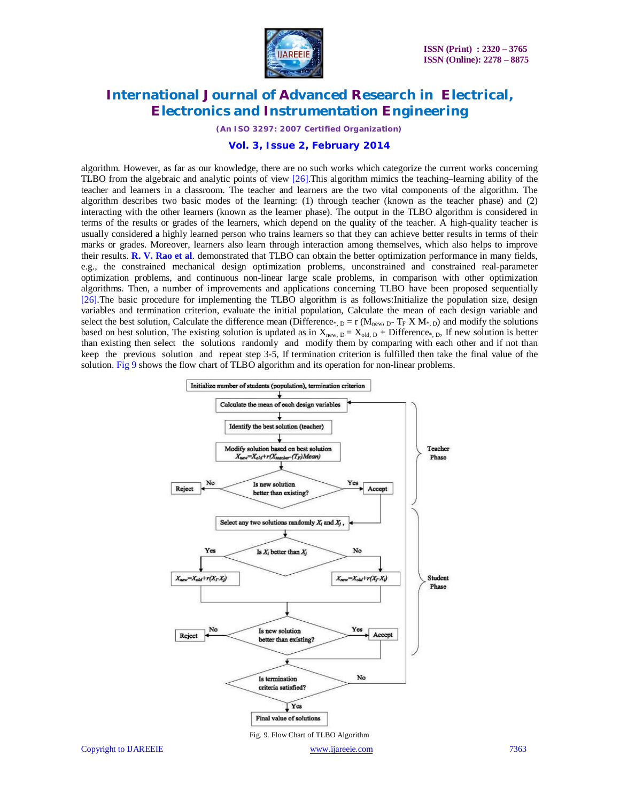

*(An ISO 3297: 2007 Certified Organization)*

**Vol. 3, Issue 2, February 2014**

algorithm. However, as far as our knowledge, there are no such works which categorize the current works concerning TLBO from the algebraic and analytic points of view [26].This algorithm mimics the teaching–learning ability of the teacher and learners in a classroom. The teacher and learners are the two vital components of the algorithm. The algorithm describes two basic modes of the learning: (1) through teacher (known as the teacher phase) and (2) interacting with the other learners (known as the learner phase). The output in the TLBO algorithm is considered in terms of the results or grades of the learners, which depend on the quality of the teacher. A high-quality teacher is usually considered a highly learned person who trains learners so that they can achieve better results in terms of their marks or grades. Moreover, learners also learn through interaction among themselves, which also helps to improve their results. **R. V. Rao et al**. demonstrated that TLBO can obtain the better optimization performance in many fields, e.g., the constrained mechanical design optimization problems, unconstrained and constrained real-parameter optimization problems, and continuous non-linear large scale problems, in comparison with other optimization algorithms. Then, a number of improvements and applications concerning TLBO have been proposed sequentially [26].The basic procedure for implementing the TLBO algorithm is as follows:Initialize the population size, design variables and termination criterion, evaluate the initial population, Calculate the mean of each design variable and select the best solution, Calculate the difference mean (Difference<sub>\*, D</sub> = r (M<sub>new, D</sub>- T<sub>F</sub> X M<sub>\*, D</sub>) and modify the solutions based on best solution, The existing solution is updated as in  $X_{new, D} = X_{old, D} +$  Difference<sub>\*, D</sub>, If new solution is better than existing then select the solutions randomly and modify them by comparing with each other and if not than keep the previous solution and repeat step 3-5, If termination criterion is fulfilled then take the final value of the solution. Fig 9 shows the flow chart of TLBO algorithm and its operation for non-linear problems.

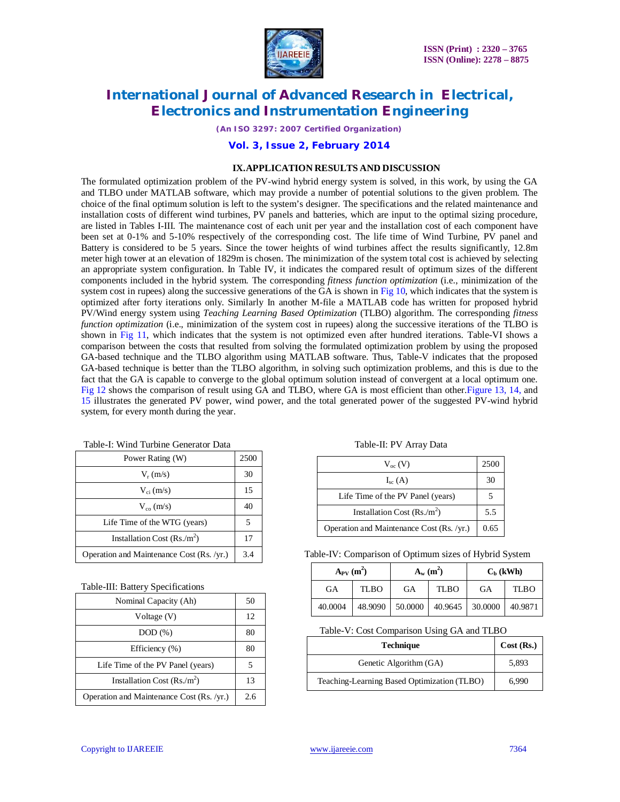

*(An ISO 3297: 2007 Certified Organization)*

**Vol. 3, Issue 2, February 2014**

### **IX.APPLICATION RESULTS AND DISCUSSION**

The formulated optimization problem of the PV-wind hybrid energy system is solved, in this work, by using the GA and TLBO under MATLAB software, which may provide a number of potential solutions to the given problem. The choice of the final optimum solution is left to the system's designer. The specifications and the related maintenance and installation costs of different wind turbines, PV panels and batteries, which are input to the optimal sizing procedure, are listed in Tables I-III. The maintenance cost of each unit per year and the installation cost of each component have been set at 0-1% and 5-10% respectively of the corresponding cost. The life time of Wind Turbine, PV panel and Battery is considered to be 5 years. Since the tower heights of wind turbines affect the results significantly, 12.8m meter high tower at an elevation of 1829m is chosen. The minimization of the system total cost is achieved by selecting an appropriate system configuration. In Table IV, it indicates the compared result of optimum sizes of the different components included in the hybrid system. The corresponding *fitness function optimization* (i.e., minimization of the system cost in rupees) along the successive generations of the GA is shown in Fig 10, which indicates that the system is optimized after forty iterations only. Similarly In another M-file a MATLAB code has written for proposed hybrid PV/Wind energy system using *Teaching Learning Based Optimization* (TLBO) algorithm. The corresponding *fitness function optimization* (i.e., minimization of the system cost in rupees) along the successive iterations of the TLBO is shown in Fig 11, which indicates that the system is not optimized even after hundred iterations. Table-VI shows a comparison between the costs that resulted from solving the formulated optimization problem by using the proposed GA-based technique and the TLBO algorithm using MATLAB software. Thus, Table-V indicates that the proposed GA-based technique is better than the TLBO algorithm, in solving such optimization problems, and this is due to the fact that the GA is capable to converge to the global optimum solution instead of convergent at a local optimum one. Fig 12 shows the comparison of result using GA and TLBO, where GA is most efficient than other.Figure 13, 14, and 15 illustrates the generated PV power, wind power, and the total generated power of the suggested PV-wind hybrid system, for every month during the year.

| Power Rating (W)                          | 2500 |
|-------------------------------------------|------|
| $V_r$ (m/s)                               | 30   |
| $V_{ci}$ (m/s)                            | 15   |
| $V_{\rm co}$ (m/s)                        | 40   |
| Life Time of the WTG (years)              | 5    |
| Installation Cost $(Rs/m^2)$              | 17   |
| Operation and Maintenance Cost (Rs. /yr.) | 3.4  |

Table-I: Wind Turbine Generator Data Table-II: PV Array Data

| Nominal Capacity (Ah)                     | 50  |
|-------------------------------------------|-----|
| Voltage (V)                               | 12  |
| DOD(%)                                    | 80  |
| Efficiency $(\% )$                        | 80  |
| Life Time of the PV Panel (years)         |     |
| Installation Cost $(Rs/m^2)$              | 13  |
| Operation and Maintenance Cost (Rs. /yr.) | 2.6 |

| $V_{oc}(V)$                               | 2500 |
|-------------------------------------------|------|
| $I_{sc}(A)$                               | 30   |
| Life Time of the PV Panel (years)         |      |
| Installation Cost $(Rs/m^2)$              | 5.5  |
| Operation and Maintenance Cost (Rs. /yr.) | 0.65 |

Table-IV: Comparison of Optimum sizes of Hybrid System

| $A_{PV}$ (m <sup>2</sup> ) |             | $A_w(m^2)$      |                 | $C_h$ (kWh) |             |
|----------------------------|-------------|-----------------|-----------------|-------------|-------------|
| GА                         | <b>TLBO</b> | GА              | <b>TLBO</b>     | GА          | <b>TLBO</b> |
| 40.0004                    |             | 48.9090 50.0000 | 40.9645 30.0000 |             | 40.9871     |

Table-V: Cost Comparison Using GA and TLBO

| <b>Technique</b>                            | Cost(Rs.) |
|---------------------------------------------|-----------|
| Genetic Algorithm (GA)                      | 5,893     |
| Teaching-Learning Based Optimization (TLBO) | 6.990     |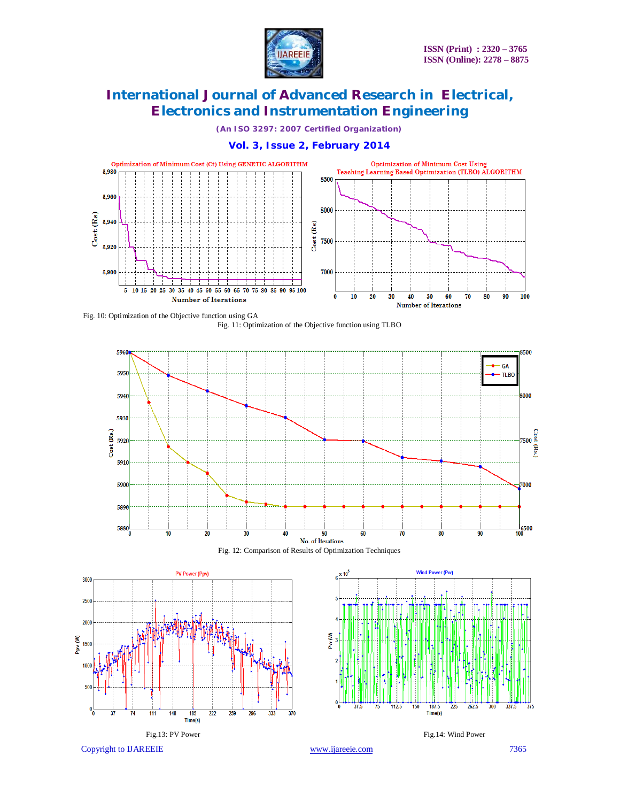

*(An ISO 3297: 2007 Certified Organization)*

### **Vol. 3, Issue 2, February 2014**













Copyright to IJAREEIE www.ijareeie.com 7365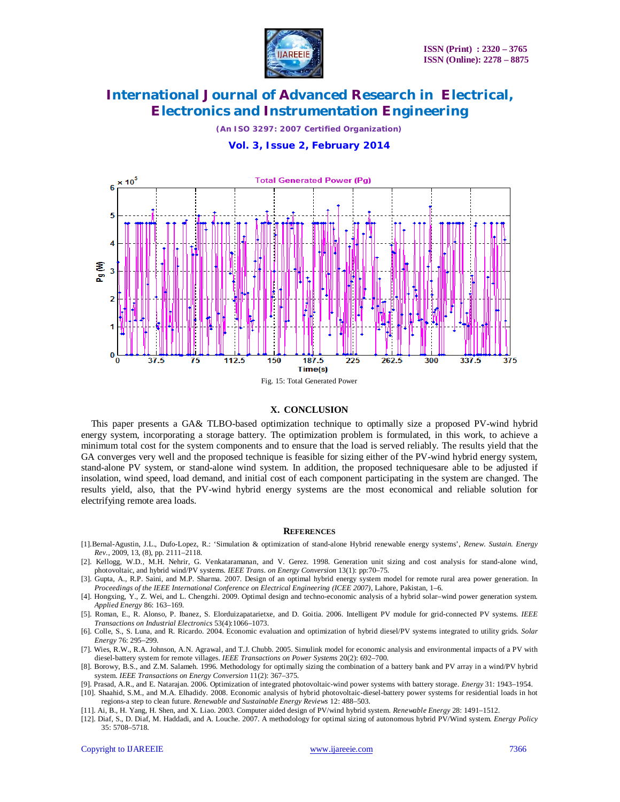

*(An ISO 3297: 2007 Certified Organization)*

**Vol. 3, Issue 2, February 2014**



#### **X. CONCLUSION**

This paper presents a GA& TLBO-based optimization technique to optimally size a proposed PV-wind hybrid energy system, incorporating a storage battery. The optimization problem is formulated, in this work, to achieve a minimum total cost for the system components and to ensure that the load is served reliably. The results yield that the GA converges very well and the proposed technique is feasible for sizing either of the PV-wind hybrid energy system, stand-alone PV system, or stand-alone wind system. In addition, the proposed techniquesare able to be adjusted if insolation, wind speed, load demand, and initial cost of each component participating in the system are changed. The results yield, also, that the PV-wind hybrid energy systems are the most economical and reliable solution for electrifying remote area loads.

#### **REFERENCES**

- [1].Bernal-Agustin, J.L., Dufo-Lopez, R.: 'Simulation & optimization of stand-alone Hybrid renewable energy systems', *Renew*. *Sustain. Energy Rev*., 2009, 13, (8), pp. 2111–2118.
- [2]. Kellogg, W.D., M.H. Nehrir, G. Venkataramanan, and V. Gerez. 1998. Generation unit sizing and cost analysis for stand-alone wind, photovoltaic, and hybrid wind/PV systems. *IEEE Trans. on Energy Conversion* 13(1): pp:70–75.
- [3]. Gupta, A., R.P. Saini, and M.P. Sharma. 2007. Design of an optimal hybrid energy system model for remote rural area power generation. In *Proceedings of the IEEE International Conference on Electrical Engineering (ICEE 2007)*, Lahore, Pakistan, 1–6.
- [4]. Hongxing, Y., Z. Wei, and L. Chengzhi. 2009. Optimal design and techno-economic analysis of a hybrid solar–wind power generation system. *Applied Energy* 86: 163–169.
- [5]. Roman, E., R. Alonso, P. Ibanez, S. Elorduizapatarietxe, and D. Goitia. 2006. Intelligent PV module for grid-connected PV systems. *IEEE Transactions on Industrial Electronics* 53(4):1066–1073.
- [6]. Colle, S., S. Luna, and R. Ricardo. 2004. Economic evaluation and optimization of hybrid diesel/PV systems integrated to utility grids. *Solar Energy* 76: 295–299.
- [7]. Wies, R.W., R.A. Johnson, A.N. Agrawal, and T.J. Chubb. 2005. Simulink model for economic analysis and environmental impacts of a PV with diesel-battery system for remote villages. *IEEE Transactions on Power Systems* 20(2): 692–700.
- [8]. Borowy, B.S., and Z.M. Salameh. 1996. Methodology for optimally sizing the combination of a battery bank and PV array in a wind/PV hybrid system. *IEEE Transactions on Energy Conversion* 11(2): 367–375.
- [9]. Prasad, A.R., and E. Natarajan. 2006. Optimization of integrated photovoltaic-wind power systems with battery storage. *Energy* 31: 1943–1954. [10]. Shaahid, S.M., and M.A. Elhadidy. 2008. Economic analysis of hybrid photovoltaic-diesel-battery power systems for residential loads in hot regions-a step to clean future. *Renewable and Sustainable Energy Reviews* 12: 488–503.
- [11]. Ai, B., H. Yang, H. Shen, and X. Liao. 2003. Computer aided design of PV/wind hybrid system. *Renewable Energy* 28: 1491–1512.
- [12]. Diaf, S., D. Diaf, M. Haddadi, and A. Louche. 2007. A methodology for optimal sizing of autonomous hybrid PV/Wind system. *Energy Policy* 35: 5708–5718.